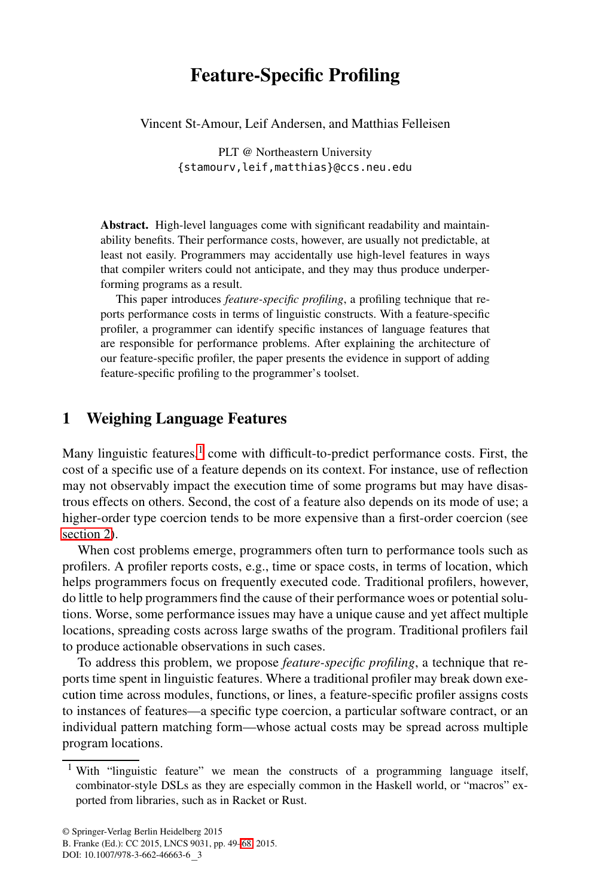# **Feature-Specific Profiling**

Vincent St-Amour, Leif Andersen, and Matthias Felleisen

PLT @ Northeastern University {stamourv,leif,matthias}@ccs.neu.edu

**Abstract.** High-level languages come with significant readability and maintainability benefits. Their performance costs, however, are usually not predictable, at least not easily. Programmers may accidentally use high-level features in ways that compiler writers could not anticipate, and they may thus produce underperforming programs as a result.

This paper introduces *feature-specific profiling*, a profiling technique that reports performance costs in terms of linguistic constructs. With a feature-specific profiler, a programmer can identify specific instances of language features that are responsible for performance problems. After explaining the architecture of our feature-specific profiler, the paper presents the evidence in support of adding feature-specific profiling to the programmer's toolset.

# **1 Weighing Language Features**

Many linguistic features, $<sup>1</sup>$  come with difficult-to-predict performance costs. First, the</sup> cost of a specific use of a feature depends on its context. For instance, use of reflection may not observably impact the execution time of some programs but may have disastrous effects on others. Second, the cost of a feature also depends on its mode of use; a higher-order type coercion tends to be more expensive than a first-order coercion (see section 2).

When cost problems emerge, programmers often turn to performance tools such as profilers. A profiler reports costs, e.g., time or space costs, in terms of location, which helps programmers focus on frequently executed code. Traditional profilers, however, do little to help programmers find the cause of their performance woes or potential solutions. Worse, some performance issues may have a unique cause and yet affect multiple locations, spreading costs across large swaths of the program. Traditional profilers fail to produce actionable observations in such cases.

To address this problem, we propose *feature-specific profiling*, a technique that reports time spent in linguistic features. Where a traditional profiler may break down execution time across modules, functions, or lines, a feature-specific profiler assigns costs to instances of features—a specific type coercion, a particular software contract, or an individual pa[tter](#page-18-0)n matching form—whose actual costs may be spread across multiple program locations.

<sup>&</sup>lt;sup>1</sup> With "linguistic feature" we mean the constructs of a programming language itself, combinator-style DSLs as they are especially common in the Haskell world, or "macros" exported from libraries, such as in Racket or Rust.

<sup>©</sup> Springer-Verlag Berlin Heidelberg 2015

B. Franke (Ed.): CC 2015, LNCS 9031, pp. 49–68, 2015.

DOI: 10.1007/978-3-662-46663-6\_3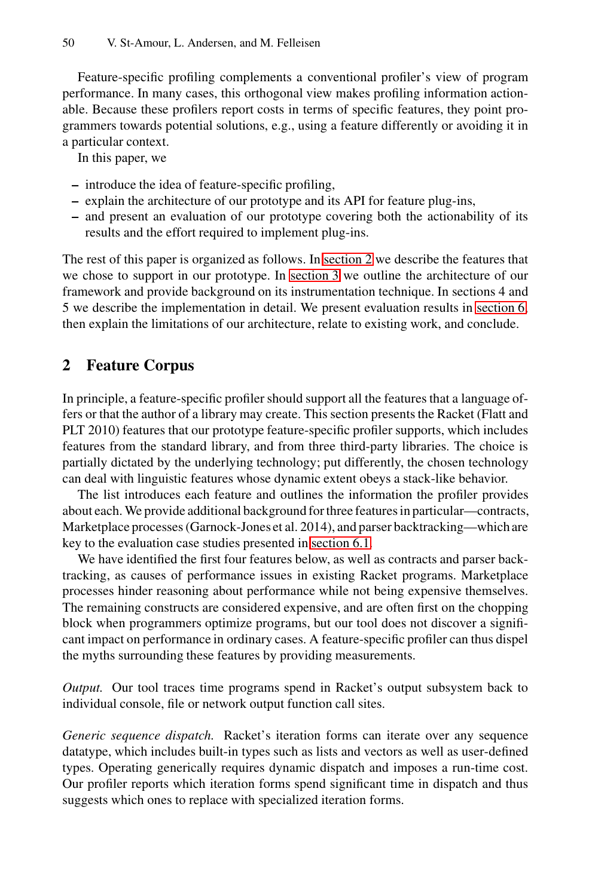<span id="page-1-0"></span>Feature-specific profiling complements a conventional profiler's view of program performance. In many cases, this orthogonal view makes profiling information actionable. Because these profilers report costs in terms of specific features, they point programmers towards potential [solutions,](#page-1-0) e.g., using a feature differently or avoiding it in a particular context.

In this paper, we

- **–** introduce the idea of feature-specific profiling,
- **–** explain the architecture of our prototype and its API for feature plug-ins,
- **–** and present an evaluation of our prototype covering both the actionability of its results and the effort required to implement plug-ins.

The rest of this paper is organized as follows. In section 2 we describe the features that we chose to support in our prototype. In section 3 we outline the architecture of our framework and provide background on its instrumentation technique. In sections 4 and 5 we describe the implementation in detail. We present evaluation results in section 6, then explain the limitations of our architecture, relate to existing work, and conclude.

# **2 Feature Corpus**

In principle, a feature-specific profiler should support all the features that a language offers or that the author of a [library may](#page-12-0) create. This section presents the Racket (Flatt and PLT 2010) features that our prototype feature-specific profiler supports, which includes features from the standard library, and from three third-party libraries. The choice is partially dictated by the underlying technology; put differently, the chosen technology can deal with linguistic features whose dynamic extent obeys a stack-like behavior.

The list introduces each feature and outlines the information the profiler provides about each. We provide additional background for three features in particular—contracts, Marketplace processes (Garnock-Jones et al. 2014), and parser backtracking—which are key to the evaluation case studies presented in section 6.1.

We have identified the first four features below, as well as contracts and parser backtracking, as causes of performance issues in existing Racket programs. Marketplace processes hinder reasoning about performance while not being expensive themselves. The remaining constructs are considered expensive, and are often first on the chopping block when programmers optimize programs, but our tool does not discover a significant impact on performance in ordinary cases. A feature-specific profiler can thus dispel the myths surrounding these features by providing measurements.

*Output.* Our tool traces time programs spend in Racket's output subsystem back to individual console, file or network output function call sites.

*Generic sequence dispatch.* Racket's iteration forms can iterate over any sequence datatype, which includes built-in types such as lists and vectors as well as user-defined types. Operating generically requires dynamic dispatch and imposes a run-time cost. Our profiler reports which iteration forms spend significant time in dispatch and thus suggests which ones to replace with specialized iteration forms.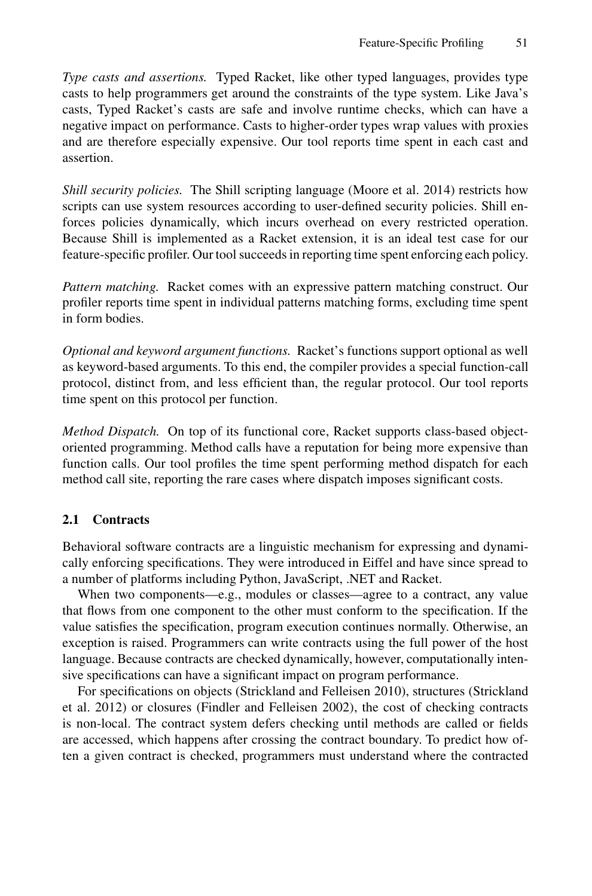*Type casts and assertions.* Typed Racket, like other typed languages, provides type casts to help programmers get around the constraints of the type system. Like Java's casts, Typed Racket's casts are safe and involve runtime checks, which can have a negative impact on performance. Casts to higher-order types wrap values with proxies and are therefore especially expensive. Our tool reports time spent in each cast and assertion.

*Shill security policies.* The Shill scripting language (Moore et al. 2014) restricts how scripts can use system resources according to user-defined security policies. Shill enforces policies dynamically, which incurs overhead on every restricted operation. Because Shill is implemented as a Racket extension, it is an ideal test case for our feature-specific profiler. Our tool succeeds in reporting time spent enforcing each policy.

*Pattern matching.* Racket comes with an expressive pattern matching construct. Our profiler reports time spent in individual patterns matching forms, excluding time spent in form bodies.

*Optional and keyword argument functions.* Racket's functions support optional as well as keyword-based arguments. To this end, the compiler provides a special function-call protocol, distinct from, and less efficient than, the regular protocol. Our tool reports time spent on this protocol per function.

*Method Dispatch.* On top of its functional core, Racket supports class-based objectoriented programming. Method calls have a reputation for being more expensive than function calls. Our tool profiles the time spent performing method dispatch for each method call site, reporting the rare cases where dispatch imposes significant costs.

# **2.1 Contracts**

Behavioral software contracts are a linguistic mechanism for expressing and dynamically enforcing specifications. They were introduced in Eiffel and have since spread to a number of platforms including Python, JavaScript, .NET and Racket.

When two components—e.g., modules or classes—agree to a contract, any value that flows from one component to the other must conform to the specification. If the value satisfies the specification, program execution continues normally. Otherwise, an exception is raised. Programmers can write contracts using the full power of the host language. Because contracts are checked dynamically, however, computationally intensive specifications can have a significant impact on program performance.

For specifications on objects (Strickland and Felleisen 2010), structures (Strickland et al. 2012) or closures (Findler and Felleisen 2002), the cost of checking contracts is non-local. The contract system defers checking until methods are called or fields are accessed, which happens after crossing the contract boundary. To predict how often a given contract is checked, programmers must understand where the contracted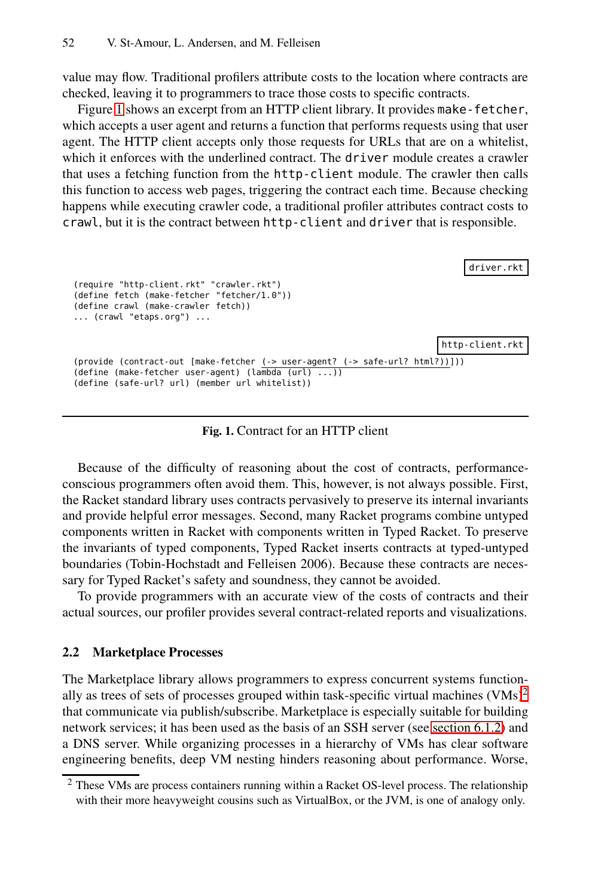value may flow. Traditional profilers attribute costs to the location where contracts are checked, leaving it to programmers to trace those costs to specific contracts.

Figure 1 shows an excerpt from an HTTP client library. It provides make-fetcher, which accepts a user agent and returns a function that performs requests using that user agent. The HTTP client accepts only those requests for URLs that are on a whitelist, which it enforces with the underlined contract. The driver module creates a crawler that uses a fetching function from the http-client module. The crawler then calls this function to access web pages, triggering the contract each time. Because checking happens while executing crawler code, a traditional profiler attributes contract costs to crawl, but it is the contract between http-client and driver that is responsible.

driver.rkt

(require "http-client. rkt" "crawler.rkt") (define fetch (make-fetcher "fetcher/1.0")) (define crawl (make-crawler fetch)) ... (crawl "etaps.org") ... http-client.rkt (provide (contract-out [make-fetcher (-> user-agent? (-> safe-url? html?))])) (define (make-fetcher user-agent) (lambda (url) ...)) (define (safe-url? url) (member url whitelist))

**Fig. 1.** Contract for an HTTP client

Because of the difficulty of reasoning about the cost of contracts, performanceconscious programmers often avoid them. This, however, is not always possible. First, the Racket standard library uses contracts pervasively to preserve its internal invariants and provide helpful error messages. Second, many Racket programs combine untyped components written in Racket with components written in Typed Racket. To preserve the invariants of typed components, Typed Racket inserts contracts at typed-untyped boundaries (Tobin-Hochstadt and Felleisen 2006). Because these [c](#page-3-0)ontracts are necessary for Typed Racket's safety and soundness, they cannot be avoided.

<span id="page-3-0"></span>To provide programmers with an accurate vi[ew of the cos](#page-13-0)ts of contracts and their actual sources, our profiler provides several contract-related reports and visualizations.

## **2.2 Marketplace Processes**

The Marketplace library allows programmers to express concurrent systems functionally as trees of sets of processes grouped within task-specific virtual machines  $(VMs)^2$ that communicate via publish/subscribe. Marketplace is especially suitable for building network services; it has been used as the basis of an SSH server (see section 6.1.2) and a DNS server. While organizing processes in a hierarchy of VMs has clear software engineering benefits, deep VM nesting hinders reasoning about performance. Worse,

<sup>&</sup>lt;sup>2</sup> These VMs are process containers running within a Racket OS-level process. The relationship with their more heavyweight cousins such as VirtualBox, or the JVM, is one of analogy only.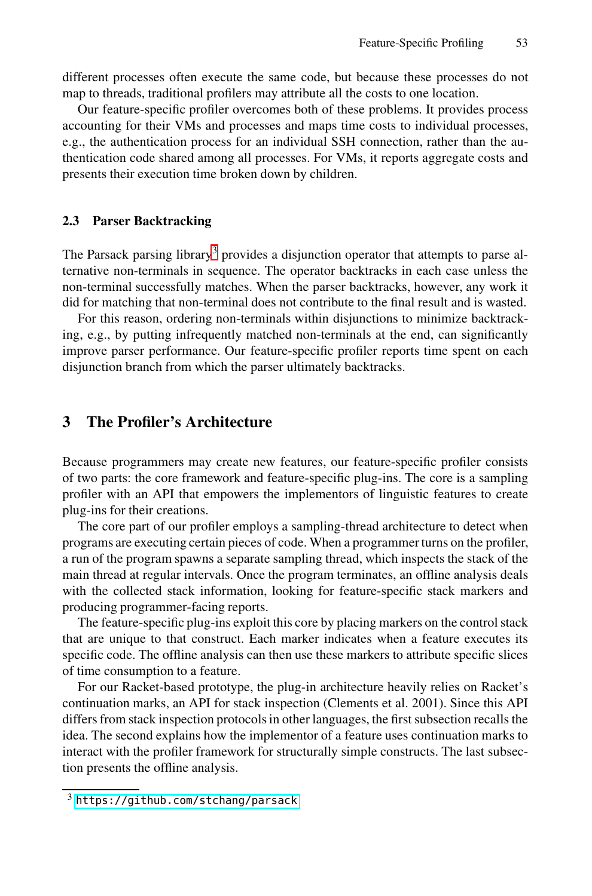different processes often execute the same code, but because these processes do not map to threads, traditional profilers may attribute all the costs to one location.

Our feature-specific profiler overcomes both of these problems. It provides process account[in](#page-4-0)g for their VMs and processes and maps time costs to individual processes, e.g., the authentication process for an individual SSH connection, rather than the authentication code shared among all processes. For VMs, it reports aggregate costs and presents their execution time broken down by children.

## **2.3 Parser Backtracking**

The Parsack parsing library<sup>3</sup> provides a disjunction operator that attempts to parse alternative non-terminals in sequence. The operator backtracks in each case unless the non-terminal successfully matches. When the parser backtracks, however, any work it did for matching that non-terminal does not contribute to the final result and is wasted.

For this reason, ordering non-terminals within disjunctions to minimize backtracking, e.g., by putting infrequently matched non-terminals at the end, can significantly improve parser performance. Our feature-specific profiler reports time spent on each disjunction branch from which the parser ultimately backtracks.

# **3 The Profiler's Architecture**

Because programmers may create new features, our feature-specific profiler consists of two parts: the core framework and feature-specific plug-ins. The core is a sampling profiler with an API that empowers the implementors of linguistic features to create plug-ins for their creations.

The core part of our profiler employs a sampling-thread architecture to detect when programs are executing certain pieces of code. When a programmer turns on the profiler, a run of the program spawns a separate sampling thread, which inspects the stack of the main thread at regular intervals. Once the program terminates, an offline analysis deals with the collected stack information, looking for feature-specific stack markers and producing programmer-facing reports.

<span id="page-4-0"></span>The feature-specific plug-ins exploit this core by placing markers on the control stack that are unique to that construct. Each marker indicates when a feature executes its specific code. The offline analysis can then use these markers to attribute specific slices [of time consumption to a](https://github.com/stchang/parsack) feature.

For our Racket-based prototype, the plug-in architecture heavily relies on Racket's continuation marks, an API for stack inspection (Clements et al. 2001). Since this API differs from stack inspection protocols in other languages, the first subsection recalls the idea. The second explains how the implementor of a feature uses continuation marks to interact with the profiler framework for structurally simple constructs. The last subsection presents the offline analysis.

<sup>3</sup> https://github.com/stchang/parsack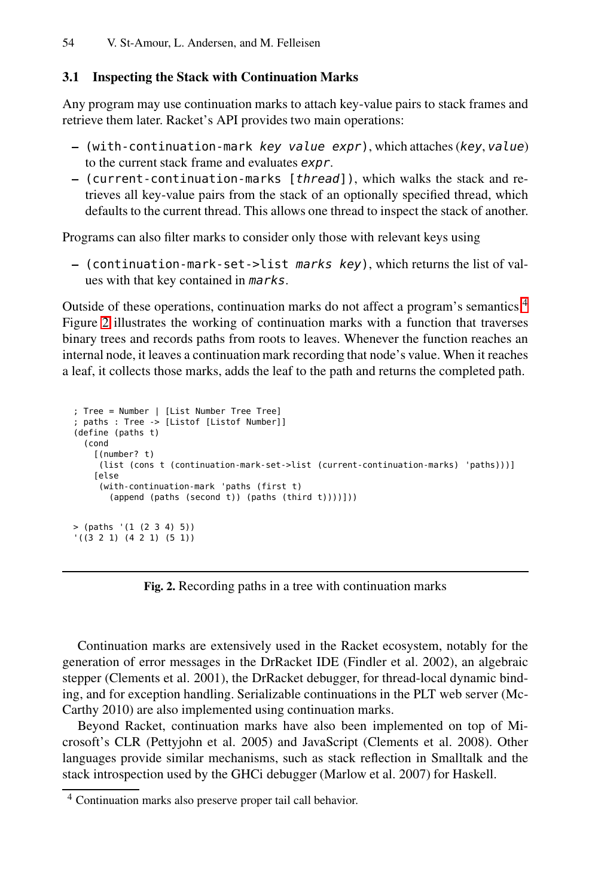### **3.1 Inspecting the Stack with Continuation Marks**

Any program may use continuation marks to attach key-value pairs to stack frames and retrieve them later. Racket's API provides two main operations:

- **–** (with-continuation-mark *key value expr*), which attaches (*key*, *value*) to the current stack frame and evaluates *expr*.
- **–** (current-continuation-marks [*thread*]), which wa[lk](#page-5-0)s the stack and retrieves all key-value pairs from the stack of an optionally specified thread, which defaults to the current thread. This allows one thread to inspect the stack of another.

Programs can also filter marks to consider only those with relevant keys using

**–** (continuation-mark-set->list *marks key*), which returns the list of values with that key contained in *marks*.

Outside of these operations, continuation marks do not affect a program's semantics.<sup>4</sup> Figure 2 illustrates the working of continuation marks with a function that traverses binary trees and records paths from roots to leaves. Whenever the function reaches an internal node, it leaves a continuation mark recording that node's value. When it reaches a leaf, it collects those marks, adds the leaf to the path and returns the completed path.

```
; Tree = Number | [List Number Tree Tree]
 paths : Tree -> [Listof [Listof Number]]
(define (paths t)
  (cond
    [(number? t)
     (list (cons t (continuation-mark-set->list (current-continuation-marks) 'paths)))]
    [else
     (with-continuation-mark 'paths (first t)
       (append (paths (second t)) (paths (third t))))]))
> (paths (1)(2, 3, 4), 5))
(3 \t2 \t1) (4 \t2 \t1) (5 \t1))
```
<span id="page-5-0"></span>**Fig. 2.** Recording paths in a tree with continuation marks

Continuation marks are extensively used in the Racket ecosystem, notably for the generation of error messages in the DrRacket IDE (Findler et al. 2002), an algebraic stepper (Clements et al. 2001), the DrRacket debugger, for thread-local dynamic binding, and for exception handling. Serializable continuations in the PLT web server (Mc-Carthy 2010) are also implemented using continuation marks.

Beyond Racket, continuation marks have also been implemented on top of Microsoft's CLR (Pettyjohn et al. 2005) and JavaScript (Clements et al. 2008). Other languages provide similar mechanisms, such as stack reflection in Smalltalk and the stack introspection used by the GHCi debugger (Marlow et al. 2007) for Haskell.

<sup>4</sup> Continuation marks also preserve proper tail call behavior.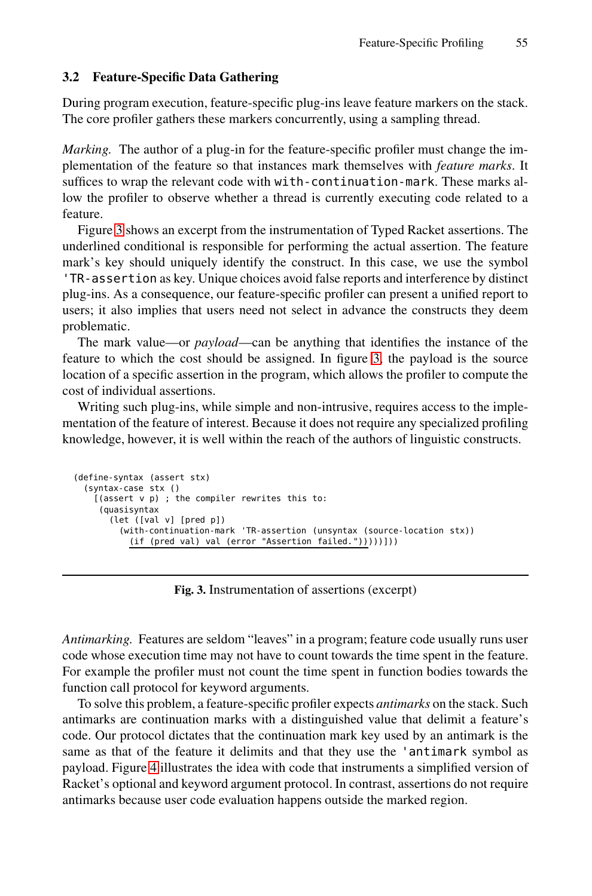### <span id="page-6-1"></span>**3.2 Feature-Specific Data Gathering**

During program execution, feature-specific plug-ins leave feature markers on the stack. The core profiler gathers these markers concurrently, using a sampling thread.

*Marking.* The author of a plug-in for the feature-specific profiler must change the implementation of the feature so that instances mark themselves with *feature marks*. It suffices to wrap the relevant code with with-continuation-mark. These marks allow the profiler to observe whether a thread is currently executing code related to a feature.

<span id="page-6-0"></span>Figure 3 shows an excerpt from the [in](#page-6-0)strumentation of Typed Racket assertions. The underlined conditional is responsible for performing the actual assertion. The feature mark's key should uniquely identify the construct. In this case, we use the symbol 'TR-assertion as key. Unique choices avoid false reports and interference by distinct plug-ins. As a consequence, our feature-specific profiler can present a unified report to users; it also implies that users need not select in advance the constructs they deem problematic.

The mark value—or *payload*—can be anything that identifies the instance of the feature to which the cost should be assigned. In figure 3, the payload is the source location of a specific assertion in the program, which allows the profiler to compute the cost of individual assertions.

Writing such plug-ins, while simple and non-intrusive, requires access to the implementation of the feature of interest. Because it does not require any specialized profiling knowledge, however, it is well within the reach of the authors of linguistic constructs.

```
(define-syntax (assert stx)
  (syntax-case stx ()
    [(assert v p) ; the compiler rewrites this to:
     (quasisyntax
       (let ([val v] [pred p])
        (with-continuation-mark 'TR-assertion (unsyntax (source-location stx))
          (if (pred val) val (error "Assertion failed.")))))]))
```
**Fig. 3.** Instrumentation of assertions (excerpt)

*Antimarking.* Features are seldom "leaves" in a program; feature code usually runs user code whose execution time may not have to count towards the time spent in the feature. For example the profiler must not count the time spent in function bodies towards the function call protocol for keyword arguments.

To solve this problem, a feature-specific profiler expects *antimarks* on the stack. Such antimarks are continuation marks with a distinguished value that delimit a feature's code. Our protocol dictates that the continuation mark key used by an antimark is the same as that of the feature it delimits and that they use the 'antimark symbol as payload. Figure 4 illustrates the idea with code that instruments a simplified version of Racket's optional and keyword argument protocol. In contrast, assertions do not require antimarks because user code evaluation happens outside the marked region.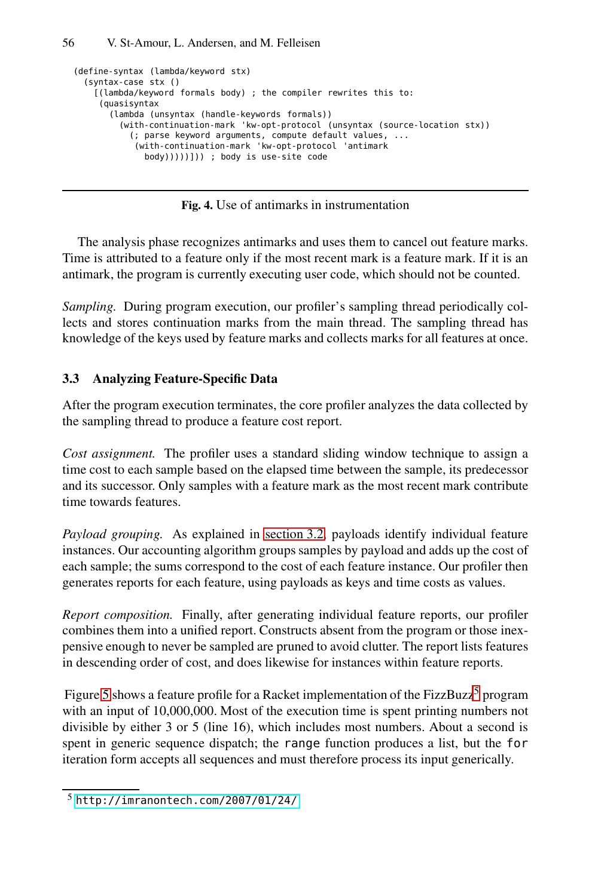```
(define-syntax (lambda/keyword stx)
  (syntax-case stx ()
[(lambda/keyword formals body) ; the compiler rewrites this to:
     (quasisyntax
       (lambda (unsyntax (handle-keywords formals))
         (with-continuation-mark 'kw-opt-protocol (unsyntax (source-location stx))
           (; parse keyword arguments, compute default values, ...
            (with-continuation-mark 'kw-opt-protocol 'antimark
              body)))))])) ; body is use-site code
```
**Fig. 4.** Use of antimarks in instrumentation

The analysis phase recognizes antimarks and uses them to cancel out feature marks. Time is attributed to a feature only if the most recent mark is a feature mark. If it is an antimark, the program is currently executing user code, which should not be counted.

*Sampling.* During program execution, our profiler's sampling thread periodically collects and stores continuation marks from the main thread. The sampling thread has knowledge of the keys used by feature marks and collects marks for all features at once.

## **3.3 Analyzing Feature-Specific Data**

After the progra[m execution t](#page-6-1)erminates, the core profiler analyzes the data collected by the sampling thread to produce a feature cost report.

*Cost assignment.* The profiler uses a standard sliding window technique to assign a time cost to each sample based on the elapsed time between the sample, its predecessor and its successor. Only samples with a feature mark as the most recent mark contribute time towards features.

*Payload grouping.* As explained in section 3.2, payloads identify individual feature instances. Our accounting algorithm groups samples by payload and adds up the cost of each sample; the sums correspond to the cost of each fea[tu](#page-7-0)re instance. Our profiler then generates reports for each feature, using payloads as keys and time costs as values.

<span id="page-7-0"></span>*Report composition.* Finally, after generating individual feature reports, our profiler combines them into a unified report. Constructs absent from the program or those inexpensive enough to never be sampled are pruned to avoid clutter. The report lists features in descending order of cost, and does likewise for instances within feature reports.

Figure 5 shows a feature profile for a Racket implementation of the FizzBuzz<sup>5</sup> program with an input of 10,000,000. Most of the execution time is spent printing numbers not divisible by either 3 or 5 (line 16), which includes most numbers. About a second is spent in generic sequence dispatch; the range function produces a list, but the for iteration form accepts all sequences and must therefore process its input generically.

<sup>5</sup> http://imranontech.com/2007/01/24/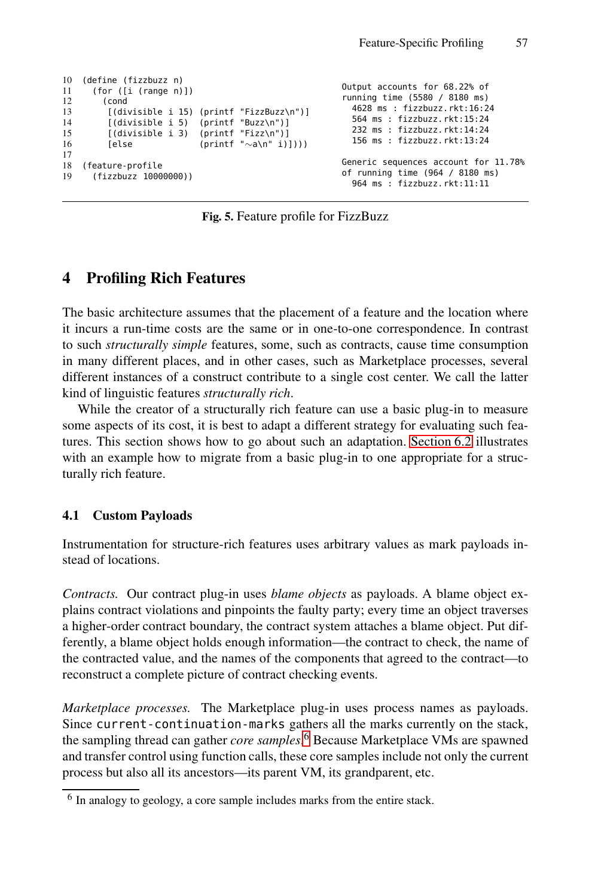```
10 (define (fizzbuzz n)<br>11 (for ([i (range n)
11 (for ([i (range n)]))
         (cond13 [(divisible i 15) (printf "FizzBuzz\n")]
14 [(divisible i 5) (printf "Buzz\n")]
15 [(divisible i 3) (printf "Fizz\n')]<br>16 [else (or inff "<math>\approx a</math>n" i)](printf "∼a\n" i)])))
\frac{17}{18}18 (feature-profile<br>19 (fizzbuzz 1000
       19 (fizzbuzz 10000000))
                                                                 Output accounts for 68.22% of
                                                                 running time (5580 / 8180 ms)
                                                                   4628 ms : fizzbuzz.rkt:16:24
                                                                   564 ms : fizzbuzz.rkt:15:24
                                                                   232 ms : fizzbuzz.rkt:14:24
                                                                   156 ms : fizzbuzz.rkt:13:24
                                                                 Generic sequences account for 11.78%
                                                                 of running time (964 / 8180 ms)
                                                                    964 ms : fizzbuzz.rkt:11:11
```
**Fig. 5.** Feature profile for FizzBuzz

# **4 Profiling Rich Features**

The basic architecture assumes that the plac[ement of a f](#page-15-0)eature and the location where it incurs a run-time costs are the same or in one-to-one correspondence. In contrast to such *structurally simple* features, some, such as contracts, cause time consumption in many different places, and in other cases, such as Marketplace processes, several different instances of a construct contribute to a single cost center. We call the latter kind of linguistic features *structurally rich*.

While the creator of a structurally rich feature can use a basic plug-in to measure some aspects of its cost, it is best to adapt a different strategy for evaluating such features. This section shows how to go about such an adaptation. Section 6.2 illustrates with an example how to migrate from a basic plug-in to one appropriate for a structurally rich feature.

## **4.1 Custom Payloads**

Instrumentation for structure-rich features uses arbitrary values as mark payloads instead of locations.

<span id="page-8-0"></span>*Contracts.* Our contract plug-in uses *blame objects* as payloads. A blame object explains contract violation[s a](#page-8-0)nd pinpoints the faulty party; every time an object traverses a higher-order contract boundary, the contract system attaches a blame object. Put differently, a blame object holds enough information—the contract to check, the name of the contracted value, and the names of the components that agreed to the contract—to reconstruct a complete picture of contract checking events.

*Marketplace processes.* The Marketplace plug-in uses process names as payloads. Since current-continuation-marks gathers all the marks currently on the stack, the sampling thread can gather *core samples*. <sup>6</sup> Because Marketplace VMs are spawned and transfer control using function calls, these core samples include not only the current process but also all its ancestors—its parent VM, its grandparent, etc.

<sup>6</sup> In analogy to geology, a core sample includes marks from the entire stack.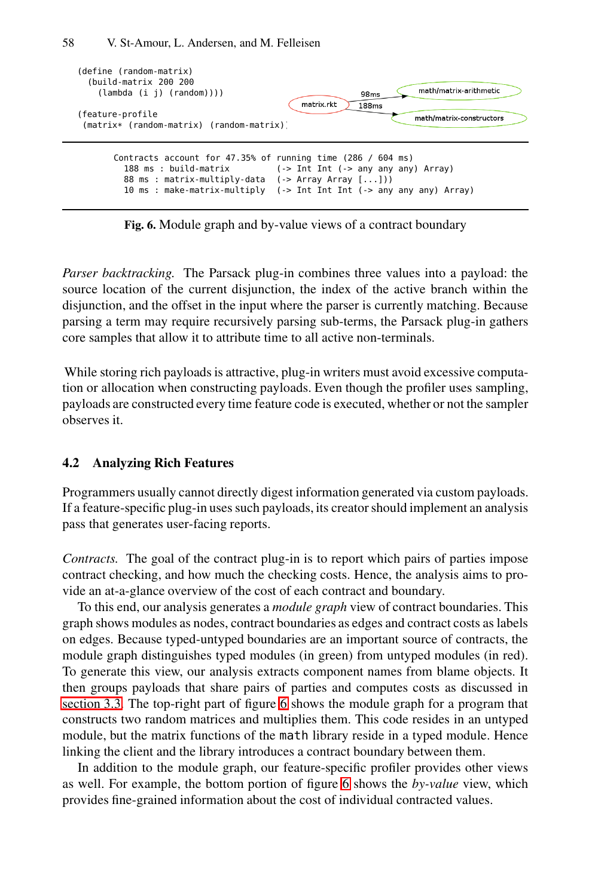<span id="page-9-0"></span>

**Fig. 6.** Module graph and by-value views of a contract boundary

*Parser backtracking.* The Parsack plug-in combines three values into a payload: the source location of the current disjunction, the index of the active branch within the disjunction, and the offset in the input where the parser is currently matching. Because parsing a term may require recursively parsing sub-terms, the Parsack plug-in gathers core samples that allow it to attribute time to all active non-terminals.

While storing rich payloads is attractive, plug-in writers must avoid excessive computation or allocation when constructing payloads. Even though the profiler uses sampling, payloads are constructed every time feature code is executed, whether or not the sampler observes it.

## **4.2 Analyzing Rich Features**

Programmers usually cannot directly digest information generated via custom payloads. If a feature-specific plug-in uses such payloads, its creator should implement an analysis pass that generates user-facing reports.

*Contracts.* The goal of the contract plug-in is to report which pairs of parties impose contract checking, a[nd](#page-9-0) how much the checking costs. Hence, the analysis aims to provide an at-a-glance overview of the cost of each contract and boundary.

To this end, our analysis generates a *module graph* view of contract boundaries. This graph shows modules as nodes, contract boundaries as edges and contract costs as labels on edges. Because typed-untyped boundaries are an important source of contracts, the module graph distinguishes typ[ed](#page-9-0) modules (in green) from untyped modules (in red). To generate this view, our analysis extracts component names from blame objects. It then groups payloads that share pairs of parties and computes costs as discussed in section 3.3. The top-right part of figure 6 shows the module graph for a program that constructs two random matrices and multiplies them. This code resides in an untyped module, but the matrix functions of the math library reside in a typed module. Hence linking the client and the library introduces a contract boundary between them.

In addition to the module graph, our feature-specific profiler provides other views as well. For example, the bottom portion of figure 6 shows the *by-value* view, which provides fine-grained information about the cost of individual contracted values.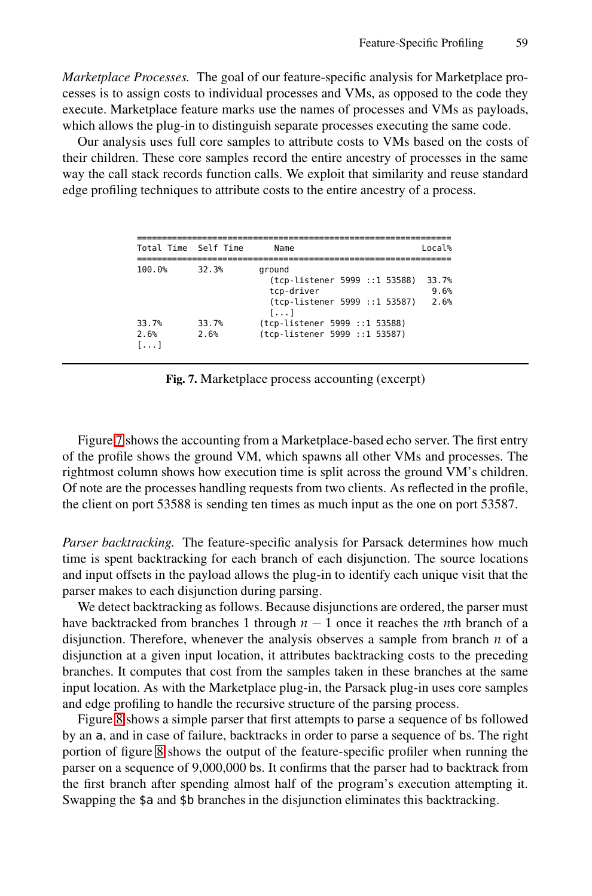*Marketplace Processes.* The goal of our feature-specific analysis for Marketplace processes is to assign costs to individual processes and VMs, as opposed to the code they execute. Marketplace feature marks use the names of processes and VMs as payloads, which allows the plug-in to distinguish separate processes executing the same code.

Our analysis uses full core samples to attribute costs to VMs based on the costs of their children. These core samples record the entire ancestry of processes in the same way the call stack records function calls. We exploit that similarity and reuse standard edge profiling techniques to attribute costs to the entire ancestry of a process.

| Total Time Self Time |               | Name                                                                                         | Local%                |
|----------------------|---------------|----------------------------------------------------------------------------------------------|-----------------------|
| 100.0%               | 32.3%         | ground<br>(tcp-listener 5999 ::1 53588)<br>tcp-driver<br>(tcp-listener 5999 ::1 53587)<br>11 | 33.7%<br>9.6%<br>2.6% |
| 33.7%<br>2.6%<br>[ ] | 33.7%<br>2.6% | (tcp-listener 5999 ::1 53588)<br>(tcp-listener 5999 ::1 53587)                               |                       |

**Fig. 7.** Marketplace process accounting (excerpt)

Figure 7 shows the accounting from a Marketplace-based echo server. The first entry of the profile shows the ground VM, which spawns all other VMs and processes. The rightmost column shows how execution time is split across the ground VM's children. Of note are the processes handling requests from two clients. As reflected in the profile, the client on port 53588 is sending ten times as much input as the one on port 53587.

*Parser backtracking.* The feature-specific analysis for Parsack determines how much time is spent backtracking for each branch of each disjunction. The source locations and input offsets in the payload allows the plug-in to identify each unique visit that the parser makes to each disjunction during parsing.

We detect backtracking as follows. Because disjunctions are ordered, the parser must have backtracked from branches 1 through  $n - 1$  once it reaches the *n*th branch of a disjunction. Therefore, whenever the analysis observes a sample from branch *n* of a disjunction at a given input location, it attributes backtracking costs to the preceding branches. It computes that cost from the samples taken in these branches at the same input location. As with the Marketplace plug-in, the Parsack plug-in uses core samples and edge profiling to handle the recursive structure of the parsing process.

Figure 8 shows a simple parser that first attempts to parse a sequence of bs followed by an a, and in case of failure, backtracks in order to parse a sequence of bs. The right portion of figure 8 shows the output of the feature-specific profiler when running the parser on a sequence of 9,000,000 bs. It confirms that the parser had to backtrack from the first branch after spending almost half of the program's execution attempting it. Swapping the \$a and \$b branches in the disjunction eliminates this backtracking.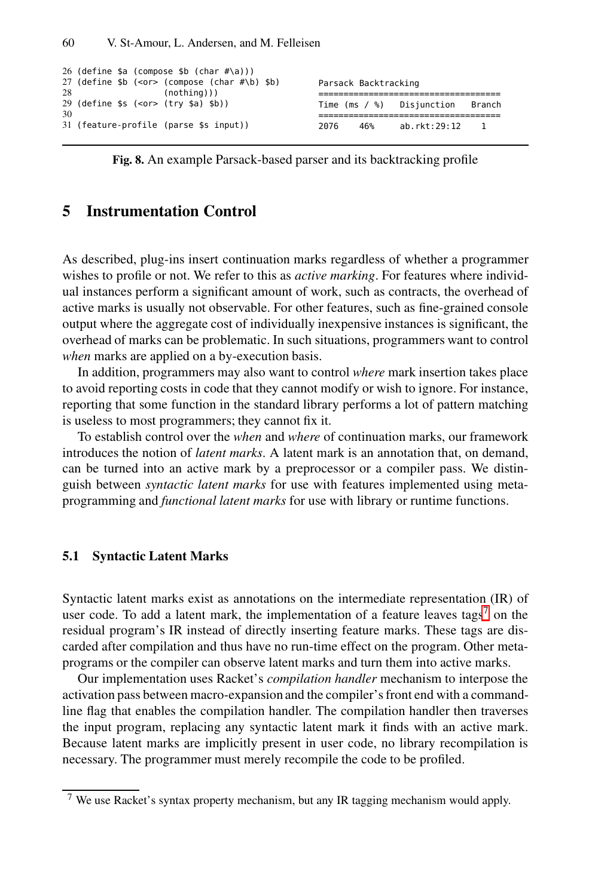| 26 (define \$a (compose \$b (char $#$ \a)))                                                            |        |
|--------------------------------------------------------------------------------------------------------|--------|
| 27 (define $sb$ ( <or> (compose (char <math>#</math>\b) <math>sb</math>)<br/>Parsack Backtracking</or> |        |
| 28<br>(nothing))                                                                                       |        |
| $29$ (define \$s ( <or> (try \$a) \$b))<br/>Time (ms / %) Disiunction</or>                             | Branch |
| 30                                                                                                     |        |
| 31 (feature-profile (parse \$s input))<br>ab.rkt:29:12<br>2076<br>46%                                  |        |

**Fig. 8.** An example Parsack-based parser and its backtracking profile

# **5 Instrumentation Control**

As described, plug-ins insert continuation marks regardless of whether a programmer wishes to profile or not. We refer to this as *active marking*. For features where individual instances perform a significant amount of work, such as contracts, the overhead of active marks is usually not observable. For other features, such as fine-grained console output where the aggregate cost of individually inexpensive instances is significant, the overhead of marks can be problematic. In such situations, programmers want to control *when* marks are applied on a by-execution basis.

In addition, programmers may also want to control *where* mark insertion takes place to avoid reporting costs in code that they cannot modify or wish to ignore. For instance, reporting that some function in the standard library performs a lot of pattern matching is useless to most programmers; they cannot fix it.

To establish control over the *when* and *where* of continuation marks, our framework introduces the notion of *latent marks*. A latent mark is an annotation that, on demand, can be turned into an active mark by a preprocessor or a compiler pass. We distinguish between *syntactic latent marks* for use with featur[es](#page-11-0) implemented using metaprogramming and *functional latent marks* for use with library or runtime functions.

#### **5.1 Syntactic Latent Marks**

<span id="page-11-0"></span>Syntactic latent marks exist as annotations on the intermediate representation (IR) of user code. To add a latent mark, the implementation of a feature leaves tags<sup>7</sup> on the residual program's IR instead of directly inserting feature marks. These tags are discarded after compilation and thus have no run-time effect on the program. Other metaprograms or the compiler can observe latent marks and turn them into active marks.

Our implementation uses Racket's *compilation handler* mechanism to interpose the activation pass between macro-expansion and the compiler's front end with a commandline flag that enables the compilation handler. The compilation handler then traverses the input program, replacing any syntactic latent mark it finds with an active mark. Because latent marks are implicitly present in user code, no library recompilation is necessary. The programmer must merely recompile the code to be profiled.

<sup>7</sup> We use Racket's syntax property mechanism, but any IR tagging mechanism would apply.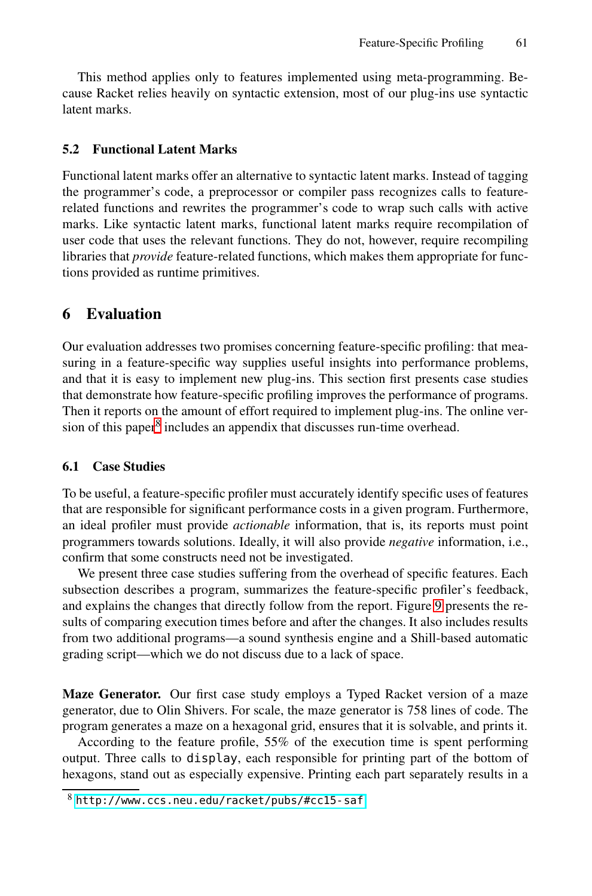This method applies only to features implemented using meta-programming. Because Racket relies heavily on syntactic extension, most of our plug-ins use syntactic latent marks.

# **5.2 Functional Latent Marks**

<span id="page-12-0"></span>Functional latent marks offer an alternative to syntactic latent marks. Instead of tagging the programmer's code, a preprocessor or compiler pass recognizes calls to featurerelated functions and rewrites the programmer's code to wrap such calls with active marks. Like syntactic latent marks, functional latent marks require recompilation of user code that uses the relevant functions. They do not, however, require recompiling libraries that *provide* feature-related functions, which makes them appropriate for functions provided as runtime primitives.

# **6 Evaluation**

Our evaluation addresses two promises concerning feature-specific profiling: that measuring in a feature-specific way supplies useful insights into performance problems, and that it is easy to implement new plug-ins. This section first presents case studies that demonstrate how feature-specific profiling improves the performance of programs. Then it reports on the amount of effort required to implement plug-ins. The online version of this paper<sup>8</sup> includes an appendix that discusses run-time overhead.

## **6.1 Case Studies**

To be useful, a feature-specific profiler must accur[at](#page-13-1)ely identify specific uses of features that are responsible for significant performance costs in a given program. Furthermore, an ideal profiler must provide *actionable* information, that is, its reports must point programmers towards solutions. Ideally, it will also provide *negative* information, i.e., confirm that some constructs need not be investigated.

We present three case studies suffering from the overhead of specific features. Each subsection describes a program, summarizes the feature-specific profiler's feedback, and explains the changes that directly follow from the report. Figure 9 presents the results of comparing execution times before and after the changes. It also includes results from two additional programs—a sound synthesis engine and a Shill-based automatic grading script—which we do not discuss due to a lack of space.

**Maze Generator.** Our first case study employs a Typed Racket version of a maze generator, due to Olin Shivers. For scale, the maze generator is 758 lines of code. The program generates a maze on a hexagonal grid, ensures that it is solvable, and prints it.

According to the feature profile, 55% of the execution time is spent performing output. Three calls to display, each responsible for printing part of the bottom of hexagons, stand out as especially expensive. Printing each part separately results in a

<sup>8</sup> http://www.ccs.neu.edu/racket/pubs/#cc15-saf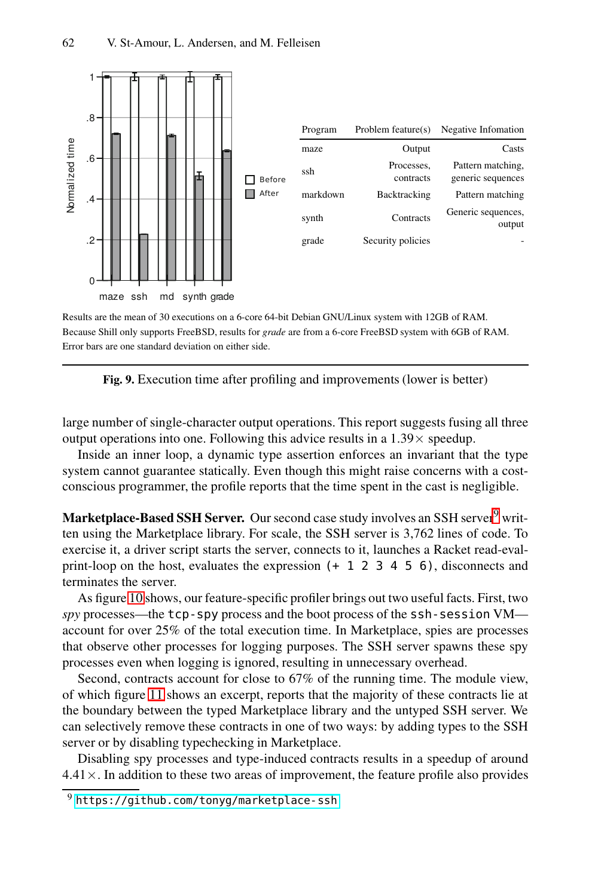<span id="page-13-1"></span>

<span id="page-13-0"></span>Results are the mean of 30 executions on a 6-core 64-bit Debian GNU/Linux system with 12GB of RAM. Because Shill only supports FreeBSD, results for *grade* are from a 6-core FreeBSD system with 6GB of RAM. Error bars are one standard deviation on either side.

**Fig. 9.** Execution time after profiling and improveme[nts](#page-13-2) (lower is better)

large number of single-character output operations. This report suggests fusing all three output operations into one. Following this advice results in a  $1.39\times$  speedup.

Inside an inner loop, a dynamic type assertion enforces an invariant that the type system cannot guarantee statically. Even though this might raise concerns with a costconscious programmer, the profile reports that the time spent in the cast is negligible.

**Marketplace-Based SSH Server.** Our second case study involves an SSH server<sup>9</sup> written using the Marketplace library. For scale, the SSH server is 3,762 lines of code. To exercise it, a driver script starts the server, connects to it, launches a Racket read-evalprint-loop on the host, evaluates the expression (+ 1 2 3 4 5 6), disconnects and terminates the server.

<span id="page-13-2"></span>As figure 10 shows, our feature-specific profiler brings out two useful facts. First, two *spy* processes—the tcp-spy process and the boot process of the ssh-session VM account for over 25% of the total execution time. In Marketplace, spies are processes that observe other processes for logging purposes. The SSH server spawns these spy processes even when logging is ignored, resulting in unnecessary overhead.

[Second, contracts account for](https://github.com/tonyg/marketplace-ssh) close to 67% of the running time. The module view, of which figure 11 shows an excerpt, reports that the majority of these contracts lie at the boundary between the typed Marketplace library and the untyped SSH server. We can selectively remove these contracts in one of two ways: by adding types to the SSH server or by disabling typechecking in Marketplace.

Disabling spy processes and type-induced contracts results in a speedup of around  $4.41 \times$ . In addition to these two areas of improvement, the feature profile also provides

<sup>9</sup> https://github.com/tonyg/marketplace-ssh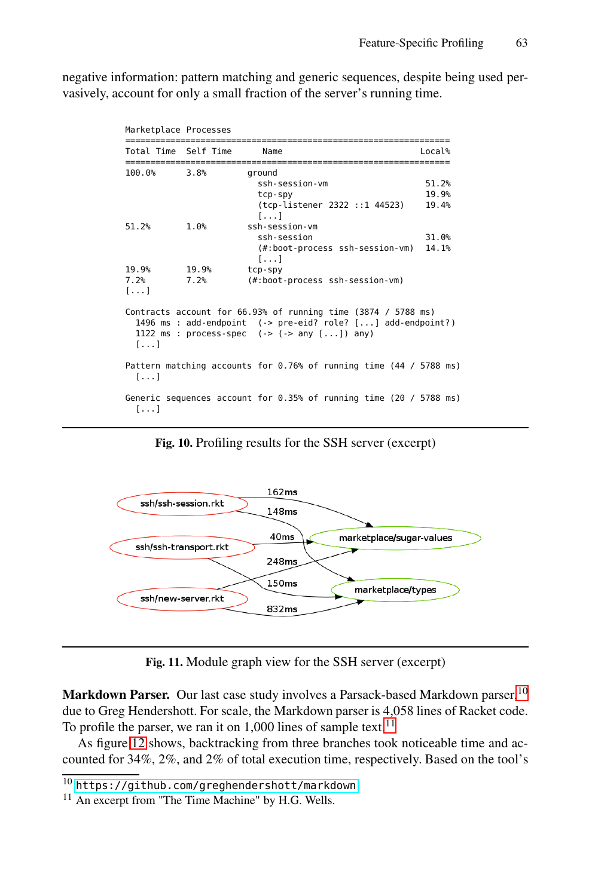negative information: pattern matching and generic sequences, despite being used pervasively, account for only a small fraction of the server's running time.

| Marketplace Processes |       |                                                                                                                                                                                                                          |        |
|-----------------------|-------|--------------------------------------------------------------------------------------------------------------------------------------------------------------------------------------------------------------------------|--------|
| Total Time Self Time  |       | Name                                                                                                                                                                                                                     | Local% |
| $100.0%$ 3.8%         |       | ground                                                                                                                                                                                                                   |        |
|                       |       | ssh-session-vm                                                                                                                                                                                                           | 51.2%  |
|                       |       | tcp-spy                                                                                                                                                                                                                  | 19.9%  |
|                       |       | (tcp-listener 2322 ::1 44523)<br>$[\ldots]$                                                                                                                                                                              | 19.4%  |
| 51.2%                 | 1.0%  | ssh-session-ym                                                                                                                                                                                                           |        |
|                       |       | ssh-session                                                                                                                                                                                                              | 31.0%  |
|                       |       | (#:boot-process ssh-session-vm) 14.1%<br>[]                                                                                                                                                                              |        |
| 19.9%                 | 19.9% | tcp-spy                                                                                                                                                                                                                  |        |
| 7.2%<br>$[\ldots]$    | 7.2%  | (#:boot-process ssh-session-vm)                                                                                                                                                                                          |        |
| 1. 1                  |       | Contracts account for $66.93\%$ of running time $(3874 / 5788 \text{ ms})$<br>1496 ms : add-endpoint $(-\ge$ pre-eid? role? $[]$ add-endpoint?)<br>1122 ms : process-spec $(-)$ $(-)$ $\infty$ $[-)$ $\infty$ $[$ ]) any |        |
| []                    |       | Pattern matching accounts for 0.76% of running time (44 / 5788 ms)                                                                                                                                                       |        |
| $[\ldots]$            |       | Generic sequences account for 0.35% of running time (20 / 5788 ms)                                                                                                                                                       |        |

**Fig. 10.** Profiling results for the SSH server (excerpt)



**Fig. 11.** [Module grap](https://github.com/greghendershott/markdown)h view for the SSH server (excerpt)

Markdown Parser. Our last case study involves a Parsack-based Markdown parser, <sup>10</sup> due to Greg Hendershott. For scale, the Markdown parser is 4,058 lines of Racket code. To profile the parser, we ran it on  $1,000$  lines of sample text.<sup>11</sup>

As figure 12 shows, backtracking from three branches took noticeable time and accounted for 34%, 2%, and 2% of total execution time, respectively. Based on the tool's

<sup>10</sup> https://github.com/greghendershott/markdown

<sup>&</sup>lt;sup>11</sup> An excerpt from "The Time Machine" by H.G. Wells.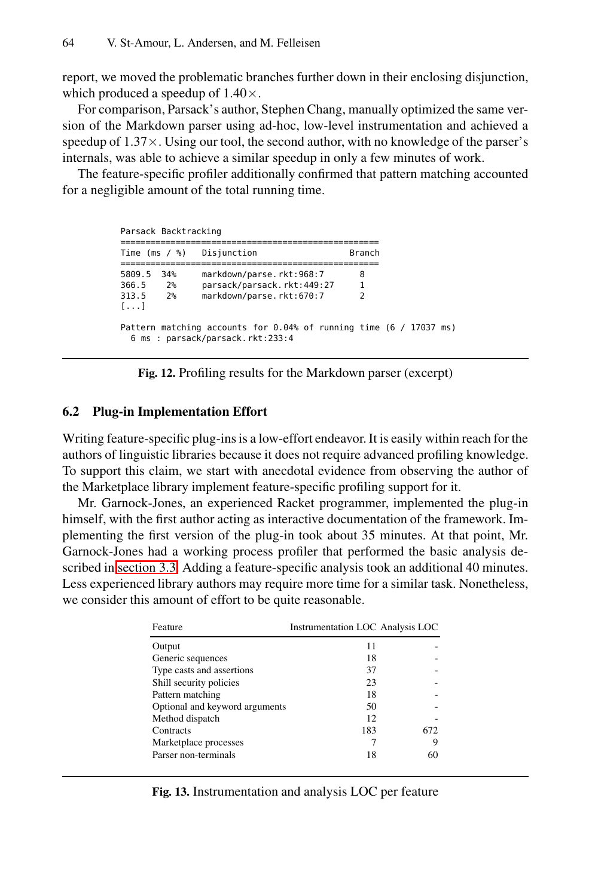report, we moved the problematic branches further down in their enclosing disjunction, which produced a speedup of 1.40×.

For comparison, Parsack's author, Stephen Chang, manually optimized the same version of the Markdown parser using ad-hoc, low-level instrumentation and achieved a speedup of  $1.37 \times$ . Using our tool, the second author, with no knowledge of the parser's internals, was able to achieve a similar speedup in only a few minutes of work.

<span id="page-15-0"></span>The feature-specific profiler additionally confirmed that pattern matching accounted for a negligible amount of the total running time.

| Parsack Backtracking                                |                    |                                                                                                        |                         |  |
|-----------------------------------------------------|--------------------|--------------------------------------------------------------------------------------------------------|-------------------------|--|
|                                                     |                    | Time $(ms / %)$ Disjunction                                                                            | Branch                  |  |
| 5809.5<br>366.5<br>313.5<br>$\left[ \ldots \right]$ | 34%<br>$2\%$<br>2% | markdown/parse.rkt:968:7<br>parsack/parsack.rkt:449:27<br>markdown/parse.rkt:670:7                     | 8<br>1<br>$\mathcal{P}$ |  |
|                                                     |                    | Pattern matching accounts for 0.04% of running time (6 / 17037 ms)<br>6 ms : parsack/parsack.rkt:233:4 |                         |  |

**Fig. 12.** Profiling results for the Markdown parser (excerpt)

## **6.2 Plug-in Implementation Effort**

[W](#page-7-1)riting feature-specific plug-ins is a low-effort endeavor. It is easily within reach for the authors of linguistic libraries because it does not require advanced profiling knowledge. To support this claim, we start with anecdotal evidence from observing the author of the Marketplace library implement feature-specific profiling support for it.

Mr. Garnock-Jones, an experienced Racket programmer, implemented the plug-in himself, with the first author acting as interactive documentation of the framework. Implementing the first version of the plug-in took about 35 minutes. At that point, Mr. Garnock-Jones had a working process profiler that performed the basic analysis described in section 3.3. Adding a feature-specific analysis took an additional 40 minutes. Less experienced library authors may require more time for a similar task. Nonetheless, we consider this amount of effort to be quite reasonable.

| Feature                        | Instrumentation LOC Analysis LOC |     |  |
|--------------------------------|----------------------------------|-----|--|
| Output                         | 11                               |     |  |
| Generic sequences              | 18                               |     |  |
| Type casts and assertions      | 37                               |     |  |
| Shill security policies        | 23                               |     |  |
| Pattern matching               | 18                               |     |  |
| Optional and keyword arguments | 50                               |     |  |
| Method dispatch                | 12                               |     |  |
| Contracts                      | 183                              | 672 |  |
| Marketplace processes          |                                  |     |  |
| Parser non-terminals           | 18                               | 60  |  |

|  |  | Fig. 13. Instrumentation and analysis LOC per feature |  |  |  |  |
|--|--|-------------------------------------------------------|--|--|--|--|
|--|--|-------------------------------------------------------|--|--|--|--|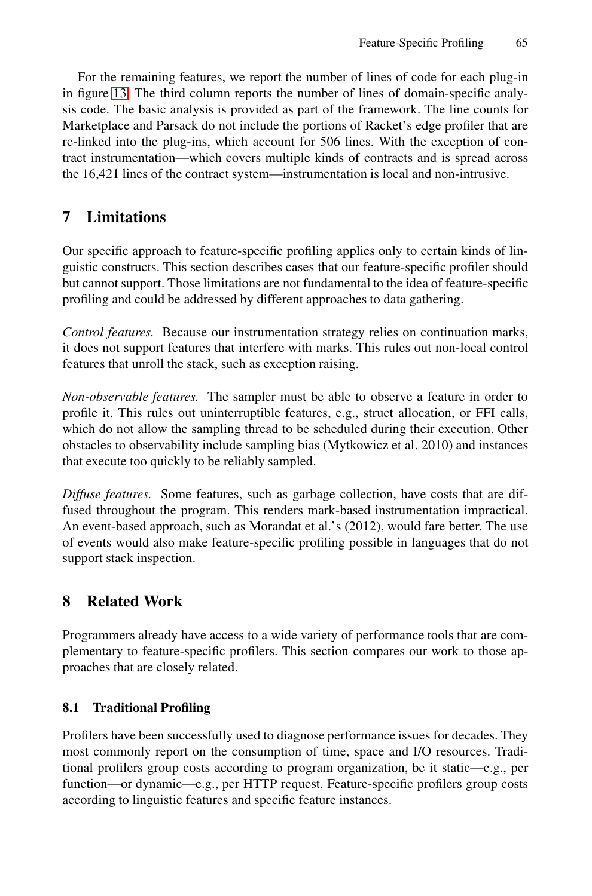For the remaining features, we report the number of lines of code for each plug-in in figure 13. The third column reports the number of lines of domain-specific analysis code. The basic analysis is provided as part of the framework. The line counts for Marketplace and Parsack do not include the portions of Racket's edge profiler that are re-linked into the plug-ins, which account for 506 lines. With the exception of contract instrumentation—which covers multiple kinds of contracts and is spread across the 16,421 lines of the contract system—instrumentation is local and non-intrusive.

# **7 Limitations**

Our specific approach to feature-specific profiling applies only to certain kinds of linguistic constructs. This section describes cases that our feature-specific profiler should but cannot support. Those limitations are not fundamental to the idea of feature-specific profiling and could be addressed by different approaches to data gathering.

*Control features.* Because our instrumentation strategy relies on continuation marks, it does not support features that interfere with marks. This rules out non-local control features that unroll the stack, such as exception raising.

*Non-observable features.* The sampler must be able to observe a feature in order to profile it. This rules out uninterruptible features, e.g., struct allocation, or FFI calls, which do not allow the sampling thread to be scheduled during their execution. Other obstacles to observability include sampling bias (Mytkowicz et al. 2010) and instances that execute too quickly to be reliably sampled.

*Diffuse features.* Some features, such as garbage collection, have costs that are diffused throughout the program. This renders mark-based instrumentation impractical. An event-based approach, such as Morandat et al.'s (2012), would fare better. The use of events would also make feature-specific profiling possible in languages that do not support stack inspection.

# **8 Related Work**

Programmers already have access to a wide variety of performance tools that are complementary to feature-specific profilers. This section compares our work to those approaches that are closely related.

# **8.1 Traditional Profiling**

Profilers have been successfully used to diagnose performance issues for decades. They most commonly report on the consumption of time, space and I/O resources. Traditional profilers group costs according to program organization, be it static—e.g., per function—or dynamic—e.g., per HTTP request. Feature-specific profilers group costs according to linguistic features and specific feature instances.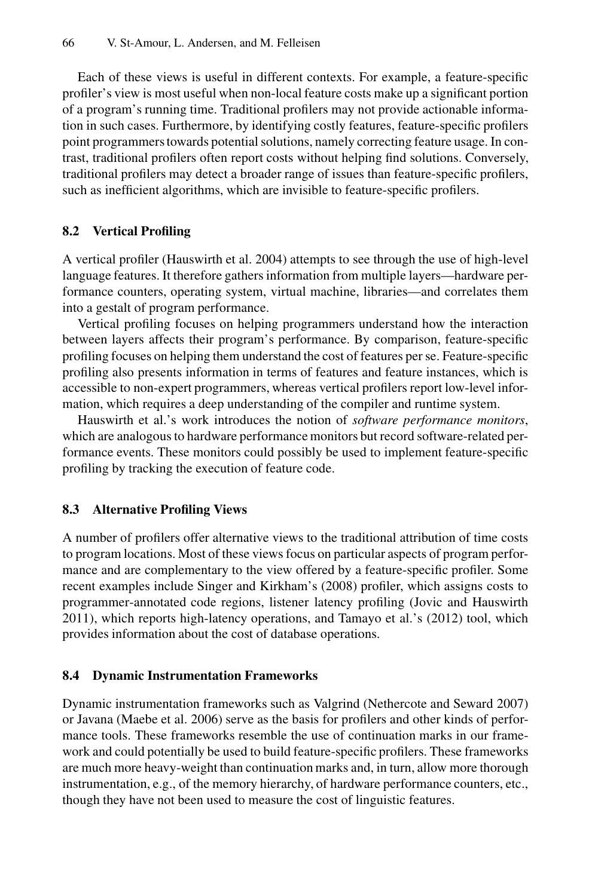Each of these views is useful in different contexts. For example, a feature-specific profiler's view is most useful when non-local feature costs make up a significant portion of a program's running time. Traditional profilers may not provide actionable information in such cases. Furthermore, by identifying costly features, feature-specific profilers point programmers towards potential solutions, namely correcting feature usage. In contrast, traditional profilers often report costs without helping find solutions. Conversely, traditional profilers may detect a broader range of issues than feature-specific profilers, such as inefficient algorithms, which are invisible to feature-specific profilers.

## **8.2 Vertical Profiling**

A vertical profiler (Hauswirth et al. 2004) attempts to see through the use of high-level language features. It therefore gathers information from multiple layers—hardware performance counters, operating system, virtual machine, libraries—and correlates them into a gestalt of program performance.

Vertical profiling focuses on helping programmers understand how the interaction between layers affects their program's performance. By comparison, feature-specific profiling focuses on helping them understand the cost of features per se. Feature-specific profiling also presents information in terms of features and feature instances, which is accessible to non-expert programmers, whereas vertical profilers report low-level information, which requires a deep understanding of the compiler and runtime system.

Hauswirth et al.'s work introduces the notion of *software performance monitors*, which are analogous to hardware performance monitors but record software-related performance events. These monitors could possibly be used to implement feature-specific profiling by tracking the execution of feature code.

#### **8.3 Alternative Profiling Views**

A number of profilers offer alternative views to the traditional attribution of time costs to program locations. Most of these views focus on particular aspects of program performance and are complementary to the view offered by a feature-specific profiler. Some recent examples include Singer and Kirkham's (2008) profiler, which assigns costs to programmer-annotated code regions, listener latency profiling (Jovic and Hauswirth 2011), which reports high-latency operations, and Tamayo et al.'s (2012) tool, which provides information about the cost of database operations.

#### **8.4 Dynamic Instrumentation Frameworks**

Dynamic instrumentation frameworks such as Valgrind (Nethercote and Seward 2007) or Javana (Maebe et al. 2006) serve as the basis for profilers and other kinds of performance tools. These frameworks resemble the use of continuation marks in our framework and could potentially be used to build feature-specific profilers. These frameworks are much more heavy-weight than continuation marks and, in turn, allow more thorough instrumentation, e.g., of the memory hierarchy, of hardware performance counters, etc., though they have not been used to measure the cost of linguistic features.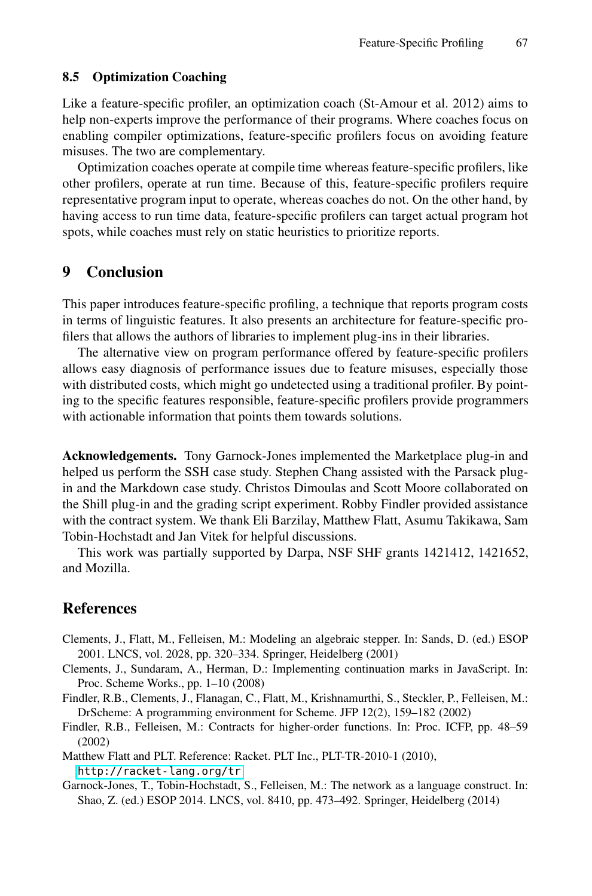## **8.5 Optimization Coaching**

Like a feature-specific profiler, an optimization coach (St-Amour et al. 2012) aims to help non-experts improve the performance of their programs. Where coaches focus on enabling compiler optimizations, feature-specific profilers focus on avoiding feature misuses. The two are complementary.

Optimization coaches operate at compile time whereas feature-specific profilers, like other profilers, operate at run time. Because of this, feature-specific profilers require representative program input to operate, whereas coaches do not. On the other hand, by having access to run time data, feature-specific profilers can target actual program hot spots, while coaches must rely on static heuristics to prioritize reports.

# **9 Conclusion**

This paper introduces feature-specific profiling, a technique that reports program costs in terms of linguistic features. It also presents an architecture for feature-specific profilers that allows the authors of libraries to implement plug-ins in their libraries.

<span id="page-18-0"></span>The alternative view on program performance offered by feature-specific profilers allows easy diagnosis of performance issues due to feature misuses, especially those with distributed costs, which might go undetected using a traditional profiler. By pointing to the specific features responsible, feature-specific profilers provide programmers with actionable information that points them towards solutions.

**Acknowledgements.** Tony Garnock-Jones implemented the Marketplace plug-in and helped us perform the SSH case study. Stephen Chang assisted with the Parsack plugin and the Markdown case study. Christos Dimoulas and Scott Moore collaborated on the Shill plug-in and the grading script experiment. Robby Findler provided assistance with the contract system. We thank Eli Barzilay, Matthew Flatt, Asumu Takikawa, Sam Tobin-Hochstadt and Jan Vitek for helpful discussions.

This work was partially supported by Darpa, NSF SHF grants 1421412, 1421652, and Mozilla.

## **References**

- Clements, J., Flatt, M., Felleisen, M.: Modeling an algebraic stepper. In: Sands, D. (ed.) ESOP [2001.](http://racket-lang.org/tr) [LNCS](http://racket-lang.org/tr), vol. 2028, pp. 320–334. Springer, Heidelberg (2001)
- Clements, J., Sundaram, A., Herman, D.: Implementing continuation marks in JavaScript. In: Proc. Scheme Works., pp. 1–10 (2008)
- Findler, R.B., Clements, J., Flanagan, C., Flatt, M., Krishnamurthi, S., Steckler, P., Felleisen, M.: DrScheme: A programming environment for Scheme. JFP 12(2), 159–182 (2002)
- Findler, R.B., Felleisen, M.: Contracts for higher-order functions. In: Proc. ICFP, pp. 48–59 (2002)
- Matthew Flatt and PLT. Reference: Racket. PLT Inc., PLT-TR-2010-1 (2010), http://racket-lang.org/tr
- Garnock-Jones, T., Tobin-Hochstadt, S., Felleisen, M.: The network as a language construct. In: Shao, Z. (ed.) ESOP 2014. LNCS, vol. 8410, pp. 473–492. Springer, Heidelberg (2014)